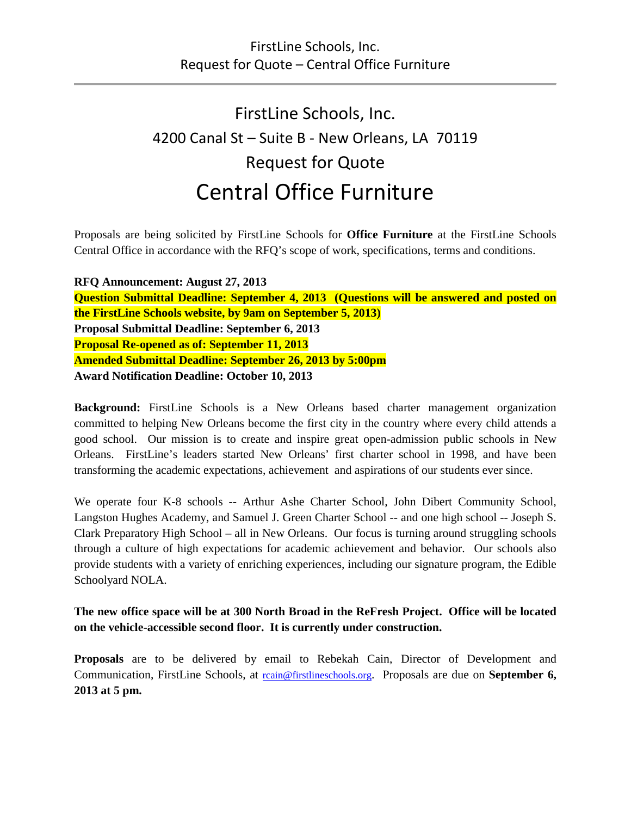# FirstLine Schools, Inc. 4200 Canal St – Suite B - New Orleans, LA 70119 Request for Quote Central Office Furniture

Proposals are being solicited by FirstLine Schools for **Office Furniture** at the FirstLine Schools Central Office in accordance with the RFQ's scope of work, specifications, terms and conditions.

**RFQ Announcement: August 27, 2013 Question Submittal Deadline: September 4, 2013 (Questions will be answered and posted on the FirstLine Schools website, by 9am on September 5, 2013) Proposal Submittal Deadline: September 6, 2013 Proposal Re-opened as of: September 11, 2013 Amended Submittal Deadline: September 26, 2013 by 5:00pm Award Notification Deadline: October 10, 2013**

**Background:** FirstLine Schools is a New Orleans based charter management organization committed to helping New Orleans become the first city in the country where every child attends a good school. Our mission is to create and inspire great open-admission public schools in New Orleans. FirstLine's leaders started New Orleans' first charter school in 1998, and have been transforming the academic expectations, achievement and aspirations of our students ever since.

We operate four K-8 schools -- Arthur Ashe Charter School, John Dibert Community School, Langston Hughes Academy, and Samuel J. Green Charter School -- and one high school -- Joseph S. Clark Preparatory High School – all in New Orleans. Our focus is turning around struggling schools through a culture of high expectations for academic achievement and behavior. Our schools also provide students with a variety of enriching experiences, including our signature program, the Edible Schoolyard NOLA.

**The new office space will be at 300 North Broad in the ReFresh Project. Office will be located on the vehicle-accessible second floor. It is currently under construction.**

**Proposals** are to be delivered by email to Rebekah Cain, Director of Development and Communication, FirstLine Schools, at reain@firstlineschools.org. Proposals are due on **September 6, 2013 at 5 pm.**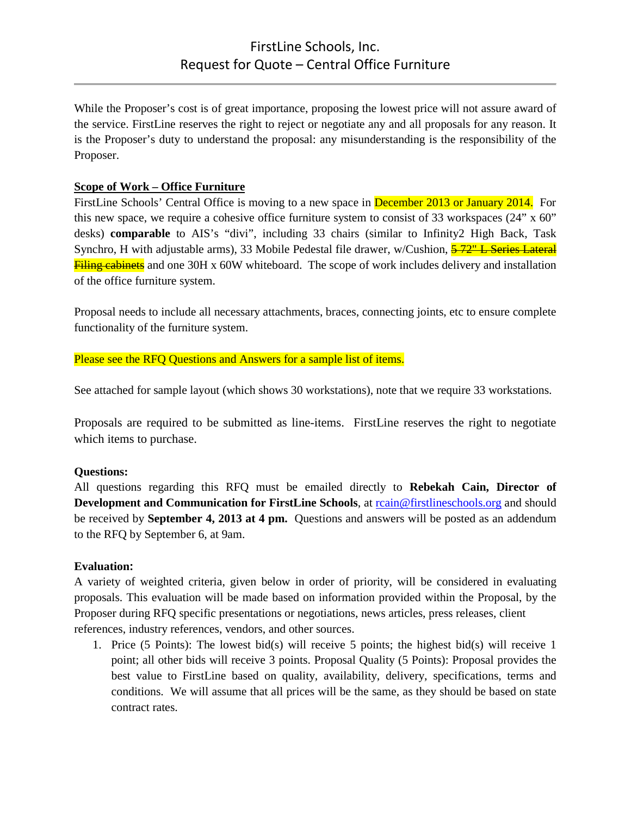While the Proposer's cost is of great importance, proposing the lowest price will not assure award of the service. FirstLine reserves the right to reject or negotiate any and all proposals for any reason. It is the Proposer's duty to understand the proposal: any misunderstanding is the responsibility of the Proposer.

## **Scope of Work – Office Furniture**

FirstLine Schools' Central Office is moving to a new space in December 2013 or January 2014. For this new space, we require a cohesive office furniture system to consist of 33 workspaces (24" x 60" desks) **comparable** to AIS's "divi", including 33 chairs (similar to Infinity2 High Back, Task Synchro, H with adjustable arms), 33 Mobile Pedestal file drawer, w/Cushion, 5-72" L Series Lateral Filing cabinets and one 30H x 60W whiteboard. The scope of work includes delivery and installation of the office furniture system.

Proposal needs to include all necessary attachments, braces, connecting joints, etc to ensure complete functionality of the furniture system.

Please see the RFQ Questions and Answers for a sample list of items.

See attached for sample layout (which shows 30 workstations), note that we require 33 workstations.

Proposals are required to be submitted as line-items. FirstLine reserves the right to negotiate which items to purchase.

### **Questions:**

All questions regarding this RFQ must be emailed directly to **Rebekah Cain, Director of Development and Communication for FirstLine Schools**, at [rcain@firstlineschools.org](mailto:rcain@firstlineschools.org) and should be received by **September 4, 2013 at 4 pm.** Questions and answers will be posted as an addendum to the RFQ by September 6, at 9am.

### **Evaluation:**

A variety of weighted criteria, given below in order of priority, will be considered in evaluating proposals. This evaluation will be made based on information provided within the Proposal, by the Proposer during RFQ specific presentations or negotiations, news articles, press releases, client references, industry references, vendors, and other sources.

1. Price (5 Points): The lowest bid(s) will receive 5 points; the highest bid(s) will receive 1 point; all other bids will receive 3 points. Proposal Quality (5 Points): Proposal provides the best value to FirstLine based on quality, availability, delivery, specifications, terms and conditions. We will assume that all prices will be the same, as they should be based on state contract rates.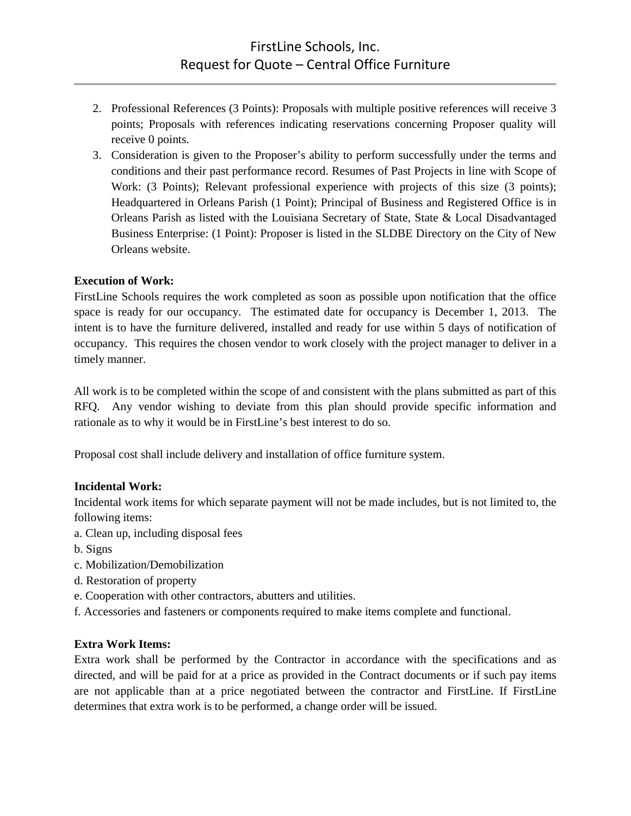- 2. Professional References (3 Points): Proposals with multiple positive references will receive 3 points; Proposals with references indicating reservations concerning Proposer quality will receive 0 points.
- 3. Consideration is given to the Proposer's ability to perform successfully under the terms and conditions and their past performance record. Resumes of Past Projects in line with Scope of Work: (3 Points); Relevant professional experience with projects of this size (3 points); Headquartered in Orleans Parish (1 Point); Principal of Business and Registered Office is in Orleans Parish as listed with the Louisiana Secretary of State, State & Local Disadvantaged Business Enterprise: (1 Point): Proposer is listed in the SLDBE Directory on the City of New Orleans website.

### **Execution of Work:**

FirstLine Schools requires the work completed as soon as possible upon notification that the office space is ready for our occupancy. The estimated date for occupancy is December 1, 2013. The intent is to have the furniture delivered, installed and ready for use within 5 days of notification of occupancy. This requires the chosen vendor to work closely with the project manager to deliver in a timely manner.

All work is to be completed within the scope of and consistent with the plans submitted as part of this RFQ. Any vendor wishing to deviate from this plan should provide specific information and rationale as to why it would be in FirstLine's best interest to do so.

Proposal cost shall include delivery and installation of office furniture system.

### **Incidental Work:**

Incidental work items for which separate payment will not be made includes, but is not limited to, the following items:

- a. Clean up, including disposal fees
- b. Signs
- c. Mobilization/Demobilization
- d. Restoration of property
- e. Cooperation with other contractors, abutters and utilities.
- f. Accessories and fasteners or components required to make items complete and functional.

### **Extra Work Items:**

Extra work shall be performed by the Contractor in accordance with the specifications and as directed, and will be paid for at a price as provided in the Contract documents or if such pay items are not applicable than at a price negotiated between the contractor and FirstLine. If FirstLine determines that extra work is to be performed, a change order will be issued.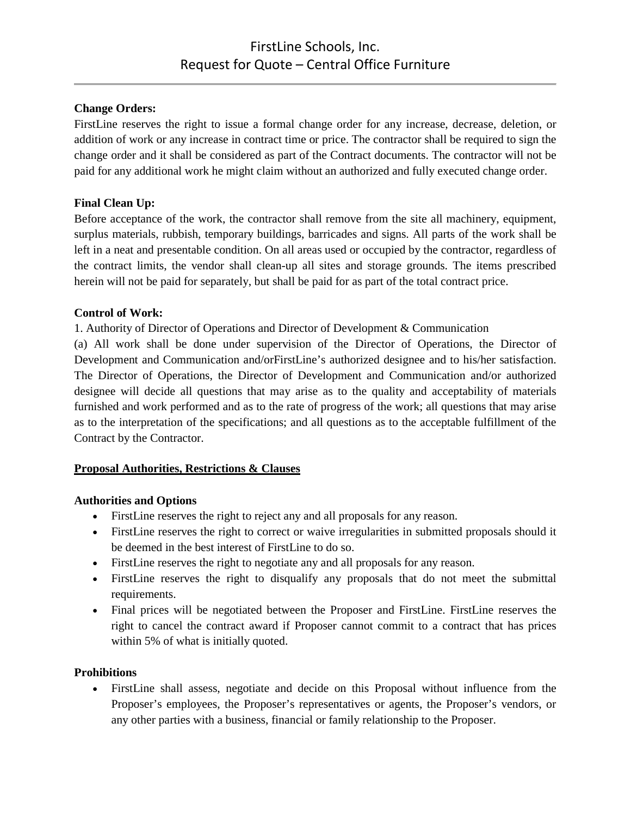## **Change Orders:**

FirstLine reserves the right to issue a formal change order for any increase, decrease, deletion, or addition of work or any increase in contract time or price. The contractor shall be required to sign the change order and it shall be considered as part of the Contract documents. The contractor will not be paid for any additional work he might claim without an authorized and fully executed change order.

## **Final Clean Up:**

Before acceptance of the work, the contractor shall remove from the site all machinery, equipment, surplus materials, rubbish, temporary buildings, barricades and signs. All parts of the work shall be left in a neat and presentable condition. On all areas used or occupied by the contractor, regardless of the contract limits, the vendor shall clean-up all sites and storage grounds. The items prescribed herein will not be paid for separately, but shall be paid for as part of the total contract price.

## **Control of Work:**

1. Authority of Director of Operations and Director of Development & Communication

(a) All work shall be done under supervision of the Director of Operations, the Director of Development and Communication and/orFirstLine's authorized designee and to his/her satisfaction. The Director of Operations, the Director of Development and Communication and/or authorized designee will decide all questions that may arise as to the quality and acceptability of materials furnished and work performed and as to the rate of progress of the work; all questions that may arise as to the interpretation of the specifications; and all questions as to the acceptable fulfillment of the Contract by the Contractor.

# **Proposal Authorities, Restrictions & Clauses**

### **Authorities and Options**

- FirstLine reserves the right to reject any and all proposals for any reason.
- FirstLine reserves the right to correct or waive irregularities in submitted proposals should it be deemed in the best interest of FirstLine to do so.
- FirstLine reserves the right to negotiate any and all proposals for any reason.
- FirstLine reserves the right to disqualify any proposals that do not meet the submittal requirements.
- Final prices will be negotiated between the Proposer and FirstLine. FirstLine reserves the right to cancel the contract award if Proposer cannot commit to a contract that has prices within 5% of what is initially quoted.

### **Prohibitions**

• FirstLine shall assess, negotiate and decide on this Proposal without influence from the Proposer's employees, the Proposer's representatives or agents, the Proposer's vendors, or any other parties with a business, financial or family relationship to the Proposer.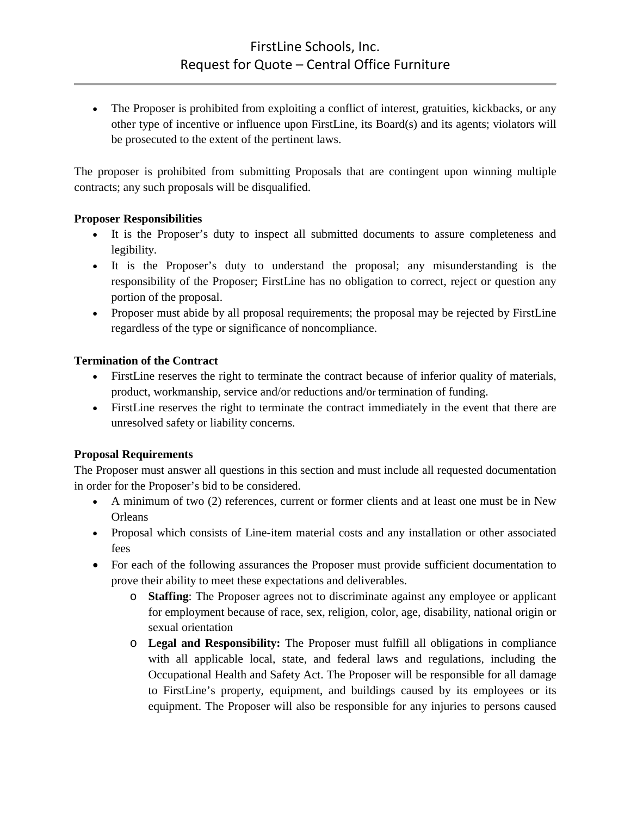• The Proposer is prohibited from exploiting a conflict of interest, gratuities, kickbacks, or any other type of incentive or influence upon FirstLine, its Board(s) and its agents; violators will be prosecuted to the extent of the pertinent laws.

The proposer is prohibited from submitting Proposals that are contingent upon winning multiple contracts; any such proposals will be disqualified.

## **Proposer Responsibilities**

- It is the Proposer's duty to inspect all submitted documents to assure completeness and legibility.
- It is the Proposer's duty to understand the proposal; any misunderstanding is the responsibility of the Proposer; FirstLine has no obligation to correct, reject or question any portion of the proposal.
- Proposer must abide by all proposal requirements; the proposal may be rejected by FirstLine regardless of the type or significance of noncompliance.

## **Termination of the Contract**

- First Line reserves the right to terminate the contract because of inferior quality of materials, product, workmanship, service and/or reductions and/or termination of funding.
- FirstLine reserves the right to terminate the contract immediately in the event that there are unresolved safety or liability concerns.

# **Proposal Requirements**

The Proposer must answer all questions in this section and must include all requested documentation in order for the Proposer's bid to be considered.

- A minimum of two (2) references, current or former clients and at least one must be in New **Orleans**
- Proposal which consists of Line-item material costs and any installation or other associated fees
- For each of the following assurances the Proposer must provide sufficient documentation to prove their ability to meet these expectations and deliverables.
	- o **Staffing**: The Proposer agrees not to discriminate against any employee or applicant for employment because of race, sex, religion, color, age, disability, national origin or sexual orientation
	- o **Legal and Responsibility:** The Proposer must fulfill all obligations in compliance with all applicable local, state, and federal laws and regulations, including the Occupational Health and Safety Act. The Proposer will be responsible for all damage to FirstLine's property, equipment, and buildings caused by its employees or its equipment. The Proposer will also be responsible for any injuries to persons caused